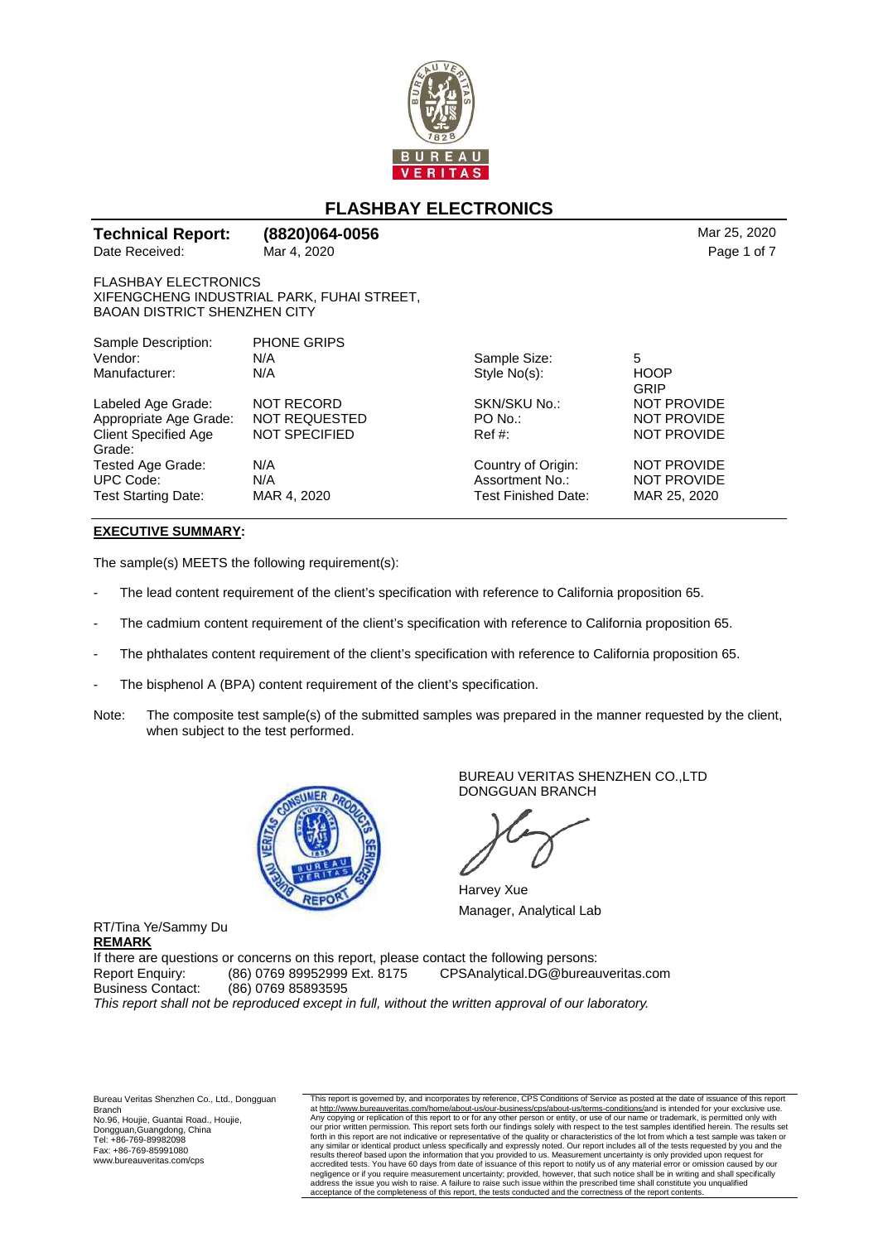

## **FLASHBAY ELECTRONICS**

| Date Received:                                                     | Mar 4, 2020                                | Page 1 of 7         |                    |
|--------------------------------------------------------------------|--------------------------------------------|---------------------|--------------------|
| <b>FLASHBAY ELECTRONICS</b><br><b>BAOAN DISTRICT SHENZHEN CITY</b> | XIFENGCHENG INDUSTRIAL PARK, FUHAI STREET, |                     |                    |
| Sample Description:                                                | <b>PHONE GRIPS</b>                         |                     |                    |
| Vendor:                                                            | N/A                                        | Sample Size:        | 5                  |
| Manufacturer:                                                      | N/A                                        | Style No(s):        | <b>HOOP</b>        |
|                                                                    |                                            |                     | GRIP               |
| Labeled Age Grade:                                                 | <b>NOT RECORD</b>                          | SKN/SKU No.:        | <b>NOT PROVIDE</b> |
| Appropriate Age Grade:                                             | <b>NOT REQUESTED</b>                       | PO No.:             | <b>NOT PROVIDE</b> |
| <b>Client Specified Age</b>                                        | <b>NOT SPECIFIED</b>                       | Ref #:              | <b>NOT PROVIDE</b> |
| Grade:                                                             |                                            |                     |                    |
| Tested Age Grade:                                                  | N/A                                        | Country of Origin:  | <b>NOT PROVIDE</b> |
| <b>UPC Code:</b>                                                   | N/A                                        | Assortment No.:     | <b>NOT PROVIDE</b> |
| <b>Test Starting Date:</b>                                         | MAR 4, 2020                                | Test Finished Date: | MAR 25, 2020       |

## **EXECUTIVE SUMMARY:**

The sample(s) MEETS the following requirement(s):

- The lead content requirement of the client's specification with reference to California proposition 65.
- The cadmium content requirement of the client's specification with reference to California proposition 65.
- The phthalates content requirement of the client's specification with reference to California proposition 65.
- The bisphenol A (BPA) content requirement of the client's specification.
- Note: The composite test sample(s) of the submitted samples was prepared in the manner requested by the client, when subject to the test performed.



BUREAU VERITAS SHENZHEN CO.,LTD DONGGUAN BRANCH

Harvey Xue Manager, Analytical Lab

If there are questions or concerns on this report, please contact the following persons: Report Enquiry: (86) 0769 89952999 Ext. 8175 CPSAnalytical.DG@bureauveritas.com Business Contact: (86) 0769 85893595 This report shall not be reproduced except in full, without the written approval of our laboratory.

Bureau Veritas Shenzhen Co., Ltd., Dongguan Branch No.96, Houjie, Guantai Road., Houjie, Dongguan,Guangdong, China Tel: +86-769-89982098 Fax: +86-769-85991080 www.bureauveritas.com/cps

RT/Tina Ye/Sammy Du

**REMARK**

This report is governed by, and incorporates by reference, CPS Conditions of Service as posted at the date of issuance of this report at <u>http://www.bureauveritas.com/home/about-us/our-business/cps/about-us/terms-conditions/</u>and is intended for your exclusive use.<br>Any copying or replication of this report to or for any other person or entity, or use of o our prior written permission. This report sets forth our findings solely with respect to the test samples identified herein. The results set<br>forth in this report are not indicative or representative of the quality or chara accredited tests. You have 60 days from date of issuance of this report to notify us of any material error or omission caused by our<br>negligence or if you require measurement uncertainty; provided, however, that such notice acceptance of the completeness of this report, the tests conducted and the correctness of the report content

**Technical Report: (8820)064-0056** Mar 25, 2020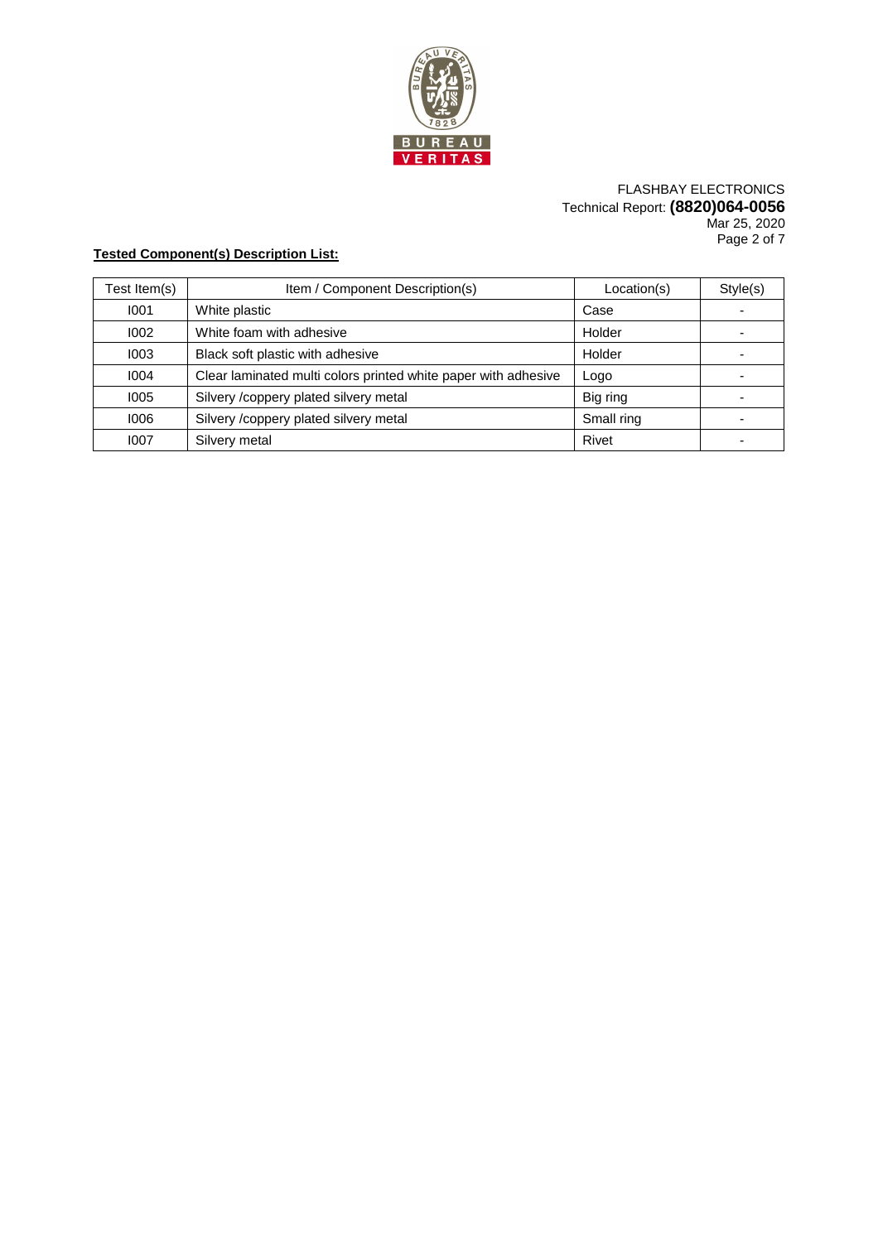

## FLASHBAY ELECTRONICS Technical Report: **(8820)064-0056** Mar 25, 2020 Page 2 of 7

## **Tested Component(s) Description List:**

| Test Item(s) | Item / Component Description(s)                                | Location(s) | Style(s) |
|--------------|----------------------------------------------------------------|-------------|----------|
| 1001         | White plastic                                                  | Case        |          |
| 1002         | White foam with adhesive                                       | Holder      |          |
| 1003         | Black soft plastic with adhesive                               | Holder      |          |
| 1004         | Clear laminated multi colors printed white paper with adhesive | Logo        |          |
| 1005         | Silvery /coppery plated silvery metal                          | Big ring    |          |
| 1006         | Silvery /coppery plated silvery metal                          | Small ring  |          |
| 1007         | Silvery metal                                                  | Rivet       |          |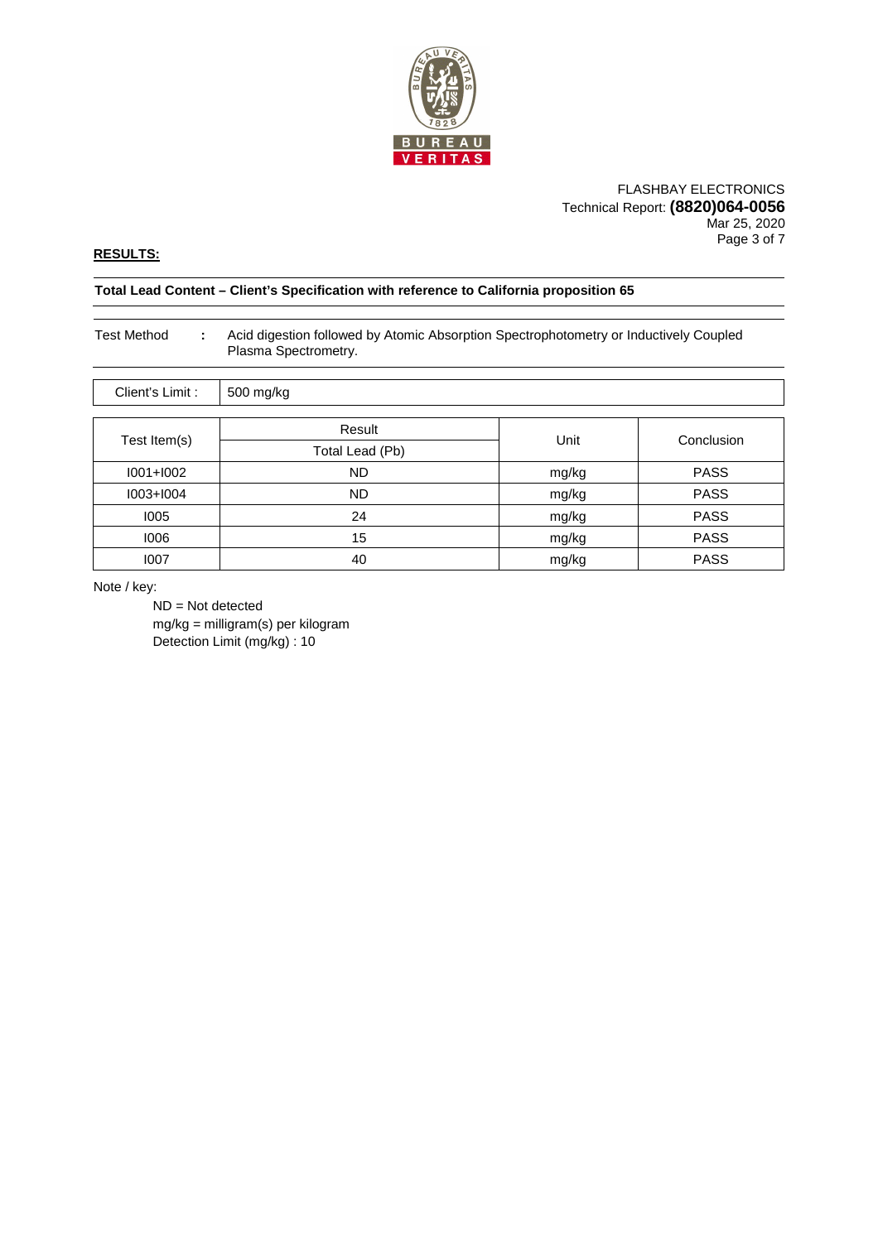

## FLASHBAY ELECTRONICS Technical Report: **(8820)064-0056** Mar 25, 2020 Page 3 of 7

## **RESULTS:**

#### **Total Lead Content – Client's Specification with reference to California proposition 65**

| <b>Test Method</b><br>÷ | Acid digestion followed by Atomic Absorption Spectrophotometry or Inductively Coupled<br>Plasma Spectrometry. |       |             |  |  |
|-------------------------|---------------------------------------------------------------------------------------------------------------|-------|-------------|--|--|
| Client's Limit:         | 500 mg/kg                                                                                                     |       |             |  |  |
|                         | Result                                                                                                        |       | Conclusion  |  |  |
| Test Item(s)            | Total Lead (Pb)                                                                                               | Unit  |             |  |  |
| $1001 + 1002$           | <b>ND</b>                                                                                                     | mg/kg | <b>PASS</b> |  |  |
| $1003+1004$             | <b>ND</b>                                                                                                     | mg/kg | <b>PASS</b> |  |  |
| 1005                    | 24                                                                                                            | mg/kg | <b>PASS</b> |  |  |
| 1006                    | 15                                                                                                            | mg/kg | <b>PASS</b> |  |  |
| 1007                    | 40                                                                                                            | mg/kg | <b>PASS</b> |  |  |

Note / key:

 ND = Not detected mg/kg = milligram(s) per kilogram Detection Limit (mg/kg) : 10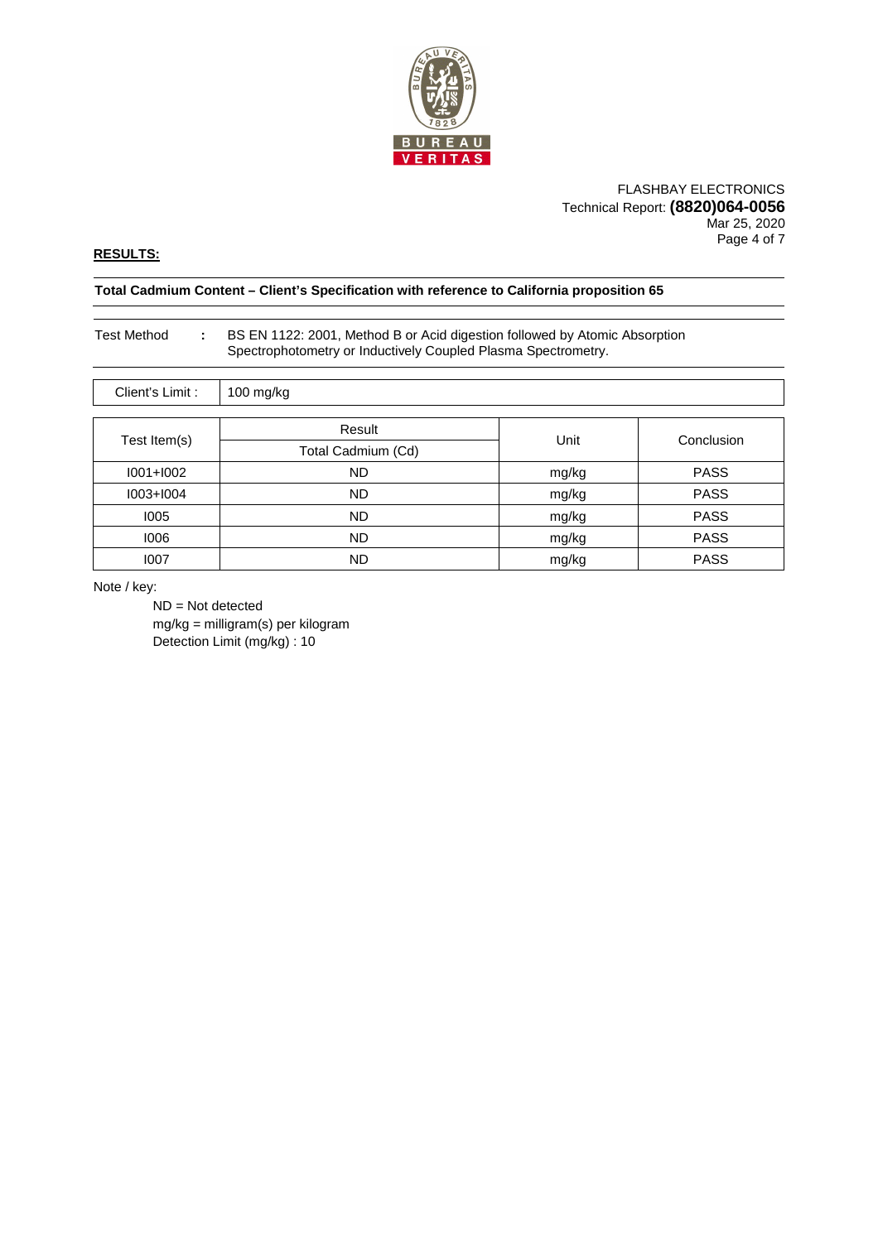

#### FLASHBAY ELECTRONICS Technical Report: **(8820)064-0056** Mar 25, 2020 Page 4 of 7

## **RESULTS:**

#### **Total Cadmium Content – Client's Specification with reference to California proposition 65**

## Test Method **:** BS EN 1122: 2001, Method B or Acid digestion followed by Atomic Absorption Spectrophotometry or Inductively Coupled Plasma Spectrometry.

| Client's Limit: | 100 mg/kg          |       |             |  |  |
|-----------------|--------------------|-------|-------------|--|--|
| Test Item(s)    | Result             | Unit  | Conclusion  |  |  |
|                 | Total Cadmium (Cd) |       |             |  |  |
| $1001 + 1002$   | <b>ND</b>          | mg/kg | <b>PASS</b> |  |  |
| $1003 + 1004$   | <b>ND</b>          | mg/kg | <b>PASS</b> |  |  |
| 1005            | ND.                | mg/kg | <b>PASS</b> |  |  |
| 1006            | <b>ND</b>          | mg/kg | <b>PASS</b> |  |  |
| 1007            | <b>ND</b>          | mg/kg | <b>PASS</b> |  |  |

Note / key:

 ND = Not detected mg/kg = milligram(s) per kilogram Detection Limit (mg/kg) : 10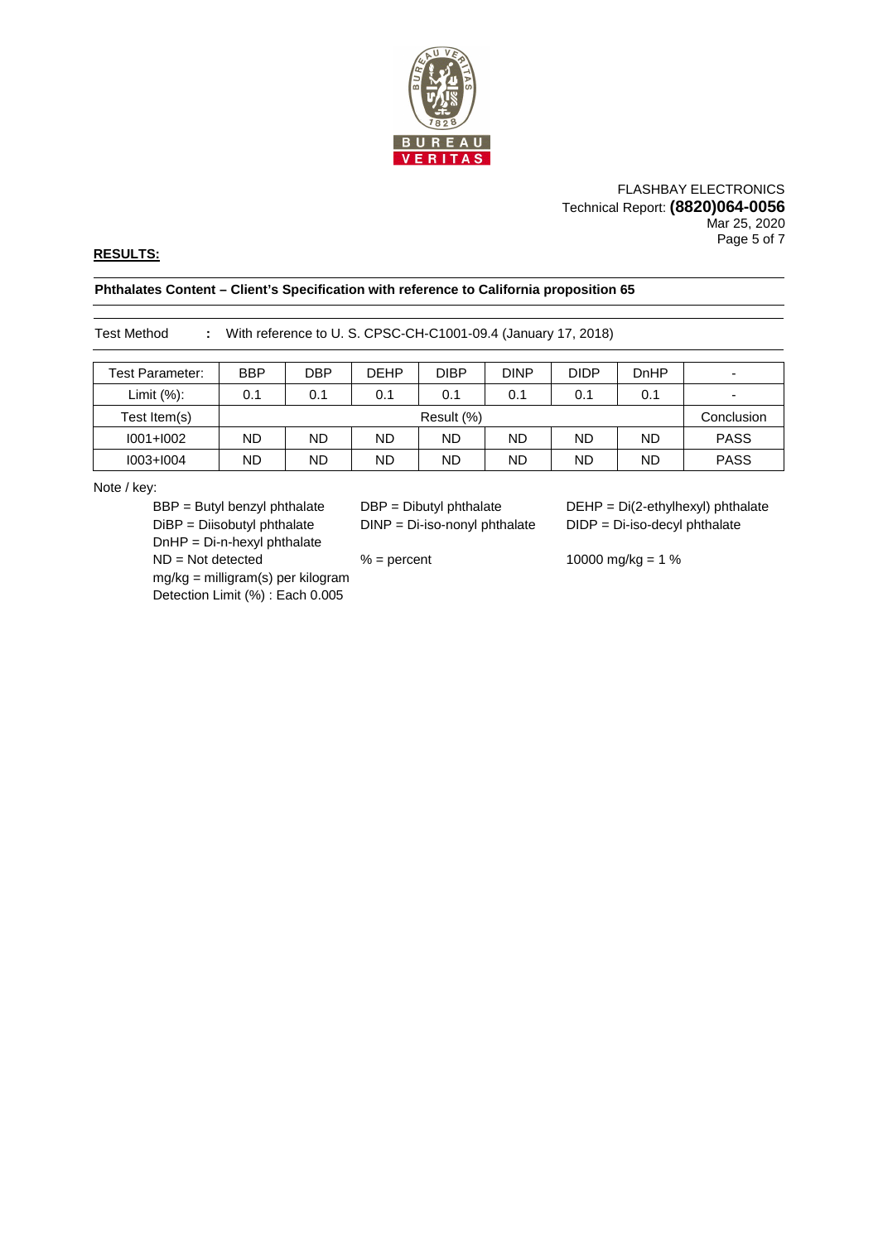

### FLASHBAY ELECTRONICS Technical Report: **(8820)064-0056** Mar 25, 2020 Page 5 of 7

## **RESULTS:**

## **Phthalates Content – Client's Specification with reference to California proposition 65**

Test Method **:** With reference to U. S. CPSC-CH-C1001-09.4 (January 17, 2018)

| Test Parameter: | <b>BBP</b> | <b>DBP</b> | <b>DEHP</b> | <b>DIBP</b> | <b>DINP</b> | <b>DIDP</b> | DnHP      | $\overline{\phantom{0}}$ |
|-----------------|------------|------------|-------------|-------------|-------------|-------------|-----------|--------------------------|
| Limit $(\%)$ :  | 0.1        | 0.1        | 0.1         | 0.1         | 0.1         | 0.1         | 0.1       | $\overline{\phantom{a}}$ |
| Test Item(s)    |            | Result (%) |             |             |             | Conclusion  |           |                          |
| $1001 + 1002$   | ND         | <b>ND</b>  | ND          | <b>ND</b>   | <b>ND</b>   | <b>ND</b>   | <b>ND</b> | <b>PASS</b>              |
| $1003 + 1004$   | ND         | ND         | ND.         | <b>ND</b>   | <b>ND</b>   | ND          | <b>ND</b> | <b>PASS</b>              |

Note / key:

 DiBP = Diisobutyl phthalate DINP = Di-iso-nonyl phthalate DIDP = Di-iso-decyl phthalate DnHP = Di-n-hexyl phthalate ND = Not detected % = percent 10000 mg/kg = 1 % mg/kg = milligram(s) per kilogram Detection Limit (%) : Each 0.005

BBP = Butyl benzyl phthalate DBP = Dibutyl phthalate DEHP = Di(2-ethylhexyl) phthalate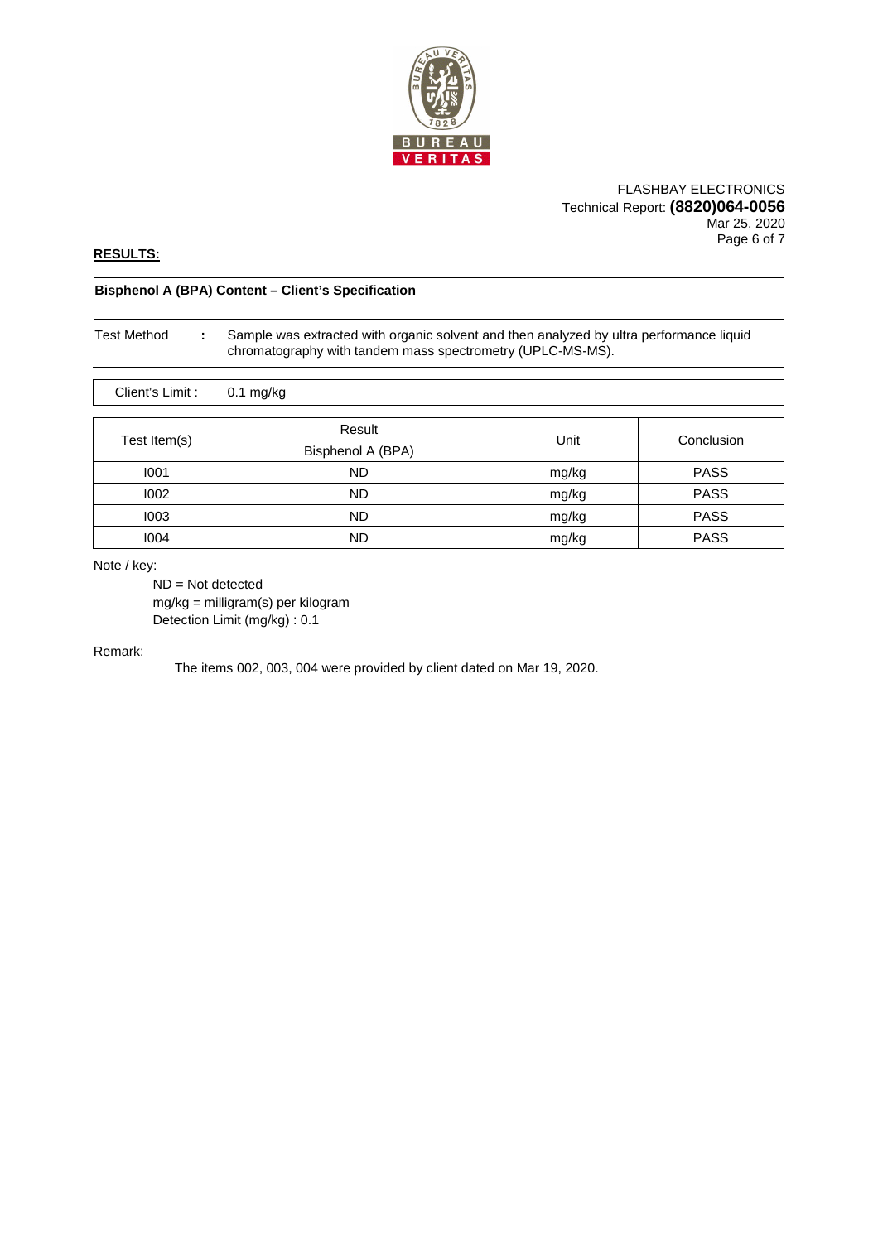

#### FLASHBAY ELECTRONICS Technical Report: **(8820)064-0056** Mar 25, 2020 Page 6 of 7

## **RESULTS:**

#### **Bisphenol A (BPA) Content – Client's Specification**

# Test Method **:** Sample was extracted with organic solvent and then analyzed by ultra performance liquid chromatography with tandem mass spectrometry (UPLC-MS-MS).

| Client's Limit : | $0.1$ mg/kg       |       |             |
|------------------|-------------------|-------|-------------|
|                  | Result            |       |             |
| Test Item(s)     |                   | Unit  | Conclusion  |
|                  | Bisphenol A (BPA) |       |             |
| 1001             | <b>ND</b>         | mg/kg | <b>PASS</b> |
| 1002             | <b>ND</b>         | mg/kg | <b>PASS</b> |
| 1003             | <b>ND</b>         | mg/kg | <b>PASS</b> |
| 1004             | ND                | mg/kg | <b>PASS</b> |

Note / key:

 ND = Not detected mg/kg = milligram(s) per kilogram Detection Limit (mg/kg) : 0.1

## Remark:

The items 002, 003, 004 were provided by client dated on Mar 19, 2020.